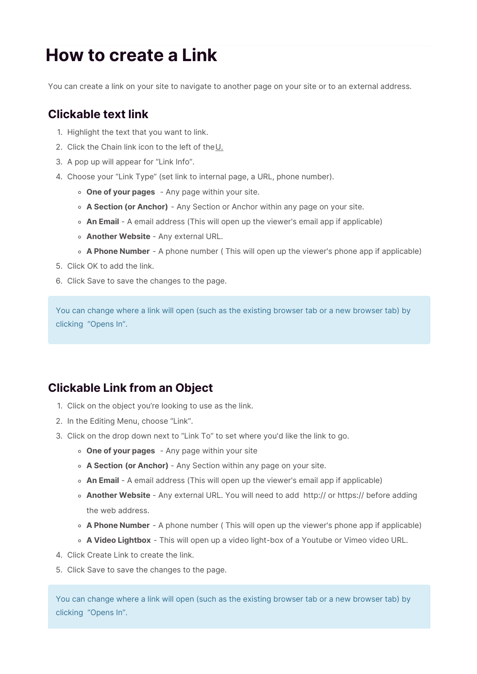## **How to create a Link**

You can create a link on your site to navigate to another page on your site or to an external address.

## **Clickable text link**

- 1. Highlight the text that you want to link.
- 2. Click the Chain link icon to the left of theU.
- 3. A pop up will appear for "Link Info".
- 4. Choose your "Link Type" (set link to internal page, a URL, phone number).
	- **One of your pages** Any page within your site.
	- **A Section (or Anchor)** Any Section or Anchor within any page on your site.
	- **An Email** A email address (This will open up the viewer's email app if applicable)
	- **Another Website** Any external URL.
	- **A Phone Number** A phone number ( This will open up the viewer's phone app if applicable)
- 5. Click OK to add the link.
- 6. Click Save to save the changes to the page.

You can change where a link will open (such as the existing browser tab or a new browser tab) by clicking "Opens In".

## **Clickable Link from an Object**

- 1. Click on the object you're looking to use as the link.
- 2. In the Editing Menu, choose "Link".
- 3. Click on the drop down next to "Link To" to set where you'd like the link to go.
	- **One of your pages** Any page within your site
	- **A Section (or Anchor)** Any Section within any page on your site.
	- **An Email** A email address (This will open up the viewer's email app if applicable)
	- **Another Website** Any external URL. You will need to add http:// or https:// before adding the web address.
	- **A Phone Number** A phone number ( This will open up the viewer's phone app if applicable)
	- **A Video Lightbox** This will open up a video light-box of a Youtube or Vimeo video URL.
- 4. Click Create Link to create the link.
- 5. Click Save to save the changes to the page.

You can change where a link will open (such as the existing browser tab or a new browser tab) by clicking "Opens In".